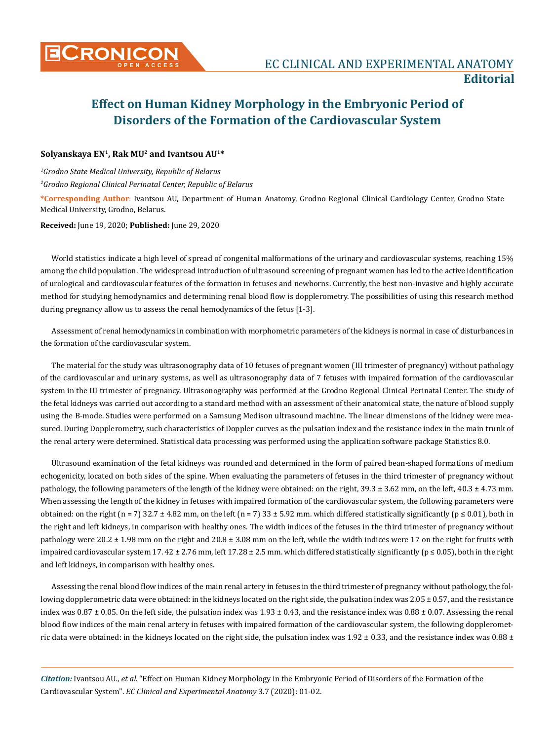

## **Effect on Human Kidney Morphology in the Embryonic Period of Disorders of the Formation of the Cardiovascular System**

## **Solyanskaya EN1, Rak MU2 and Ivantsou AU1\***

*1 Grodno State Medical University, Republic of Belarus 2 Grodno Regional Clinical Perinatal Center, Republic of Belarus*

**\*Corresponding Author**: Ivantsou AU, Department of Human Anatomy, Grodno Regional Clinical Cardiology Center, Grodno State Medical University, Grodno, Belarus.

**Received:** June 19, 2020; **Published:** June 29, 2020

World statistics indicate a high level of spread of congenital malformations of the urinary and cardiovascular systems, reaching 15% among the child population. The widespread introduction of ultrasound screening of pregnant women has led to the active identification of urological and cardiovascular features of the formation in fetuses and newborns. Currently, the best non-invasive and highly accurate method for studying hemodynamics and determining renal blood flow is dopplerometry. The possibilities of using this research method during pregnancy allow us to assess the renal hemodynamics of the fetus [1-3].

Assessment of renal hemodynamics in combination with morphometric parameters of the kidneys is normal in case of disturbances in the formation of the cardiovascular system.

The material for the study was ultrasonography data of 10 fetuses of pregnant women (III trimester of pregnancy) without pathology of the cardiovascular and urinary systems, as well as ultrasonography data of 7 fetuses with impaired formation of the cardiovascular system in the III trimester of pregnancy. Ultrasonography was performed at the Grodno Regional Clinical Perinatal Center. The study of the fetal kidneys was carried out according to a standard method with an assessment of their anatomical state, the nature of blood supply using the B-mode. Studies were performed on a Samsung Medison ultrasound machine. The linear dimensions of the kidney were measured. During Dopplerometry, such characteristics of Doppler curves as the pulsation index and the resistance index in the main trunk of the renal artery were determined. Statistical data processing was performed using the application software package Statistics 8.0.

Ultrasound examination of the fetal kidneys was rounded and determined in the form of paired bean-shaped formations of medium echogenicity, located on both sides of the spine. When evaluating the parameters of fetuses in the third trimester of pregnancy without pathology, the following parameters of the length of the kidney were obtained: on the right, 39.3 ± 3.62 mm, on the left, 40.3 ± 4.73 mm. When assessing the length of the kidney in fetuses with impaired formation of the cardiovascular system, the following parameters were obtained: on the right (n = 7) 32.7 ± 4.82 mm, on the left (n = 7) 33 ± 5.92 mm. which differed statistically significantly (p ≤ 0.01), both in the right and left kidneys, in comparison with healthy ones. The width indices of the fetuses in the third trimester of pregnancy without pathology were 20.2 ± 1.98 mm on the right and 20.8 ± 3.08 mm on the left, while the width indices were 17 on the right for fruits with impaired cardiovascular system 17.  $42 \pm 2.76$  mm, left 17.28  $\pm 2.5$  mm. which differed statistically significantly ( $p \le 0.05$ ), both in the right and left kidneys, in comparison with healthy ones.

Assessing the renal blood flow indices of the main renal artery in fetuses in the third trimester of pregnancy without pathology, the following dopplerometric data were obtained: in the kidneys located on the right side, the pulsation index was 2.05  $\pm$  0.57, and the resistance index was  $0.87 \pm 0.05$ . On the left side, the pulsation index was  $1.93 \pm 0.43$ , and the resistance index was  $0.88 \pm 0.07$ . Assessing the renal blood flow indices of the main renal artery in fetuses with impaired formation of the cardiovascular system, the following dopplerometric data were obtained: in the kidneys located on the right side, the pulsation index was  $1.92 \pm 0.33$ , and the resistance index was  $0.88 \pm 0.33$ 

*Citation:* Ivantsou AU*., et al.* "Effect on Human Kidney Morphology in the Embryonic Period of Disorders of the Formation of the Cardiovascular System". *EC Clinical and Experimental Anatomy* 3.7 (2020): 01-02.